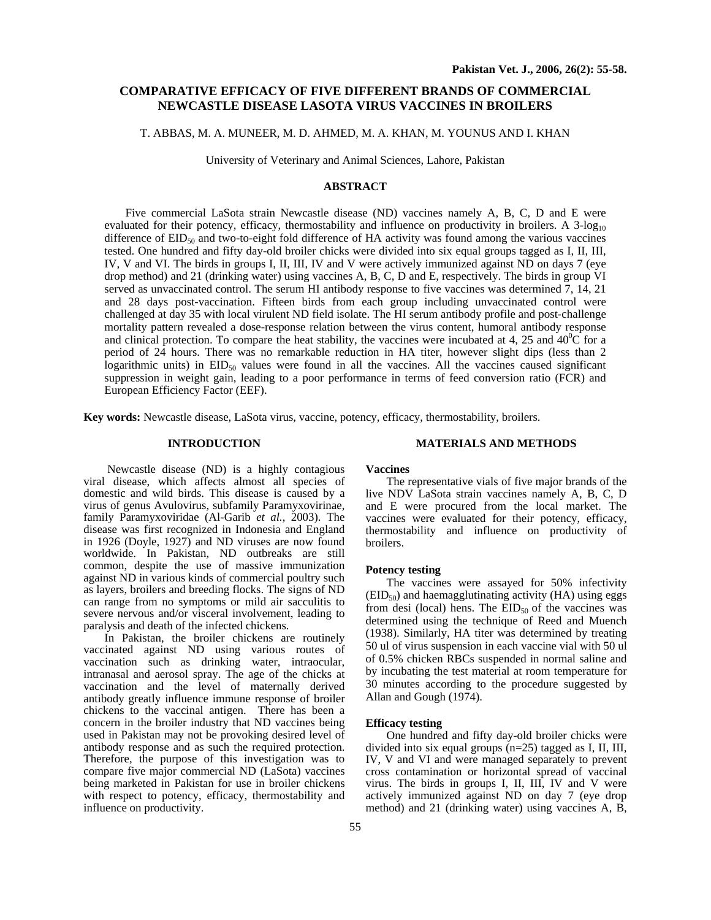# **COMPARATIVE EFFICACY OF FIVE DIFFERENT BRANDS OF COMMERCIAL NEWCASTLE DISEASE LASOTA VIRUS VACCINES IN BROILERS**

# T. ABBAS, M. A. MUNEER, M. D. AHMED, M. A. KHAN, M. YOUNUS AND I. KHAN

University of Veterinary and Animal Sciences, Lahore, Pakistan

## **ABSTRACT**

Five commercial LaSota strain Newcastle disease (ND) vaccines namely A, B, C, D and E were evaluated for their potency, efficacy, thermostability and influence on productivity in broilers. A  $3$ -log<sub>10</sub> difference of EID<sub>50</sub> and two-to-eight fold difference of HA activity was found among the various vaccines tested. One hundred and fifty day-old broiler chicks were divided into six equal groups tagged as I, II, III, IV, V and VI. The birds in groups I, II, III, IV and V were actively immunized against ND on days 7 (eye drop method) and 21 (drinking water) using vaccines A, B, C, D and E, respectively. The birds in group VI served as unvaccinated control. The serum HI antibody response to five vaccines was determined 7, 14, 21 and 28 days post-vaccination. Fifteen birds from each group including unvaccinated control were challenged at day 35 with local virulent ND field isolate. The HI serum antibody profile and post-challenge mortality pattern revealed a dose-response relation between the virus content, humoral antibody response and clinical protection. To compare the heat stability, the vaccines were incubated at 4, 25 and  $40^{\circ}$ C for a period of 24 hours. There was no remarkable reduction in HA titer, however slight dips (less than 2 logarithmic units) in  $EID_{50}$  values were found in all the vaccines. All the vaccines caused significant suppression in weight gain, leading to a poor performance in terms of feed conversion ratio (FCR) and European Efficiency Factor (EEF).

**Key words:** Newcastle disease, LaSota virus, vaccine, potency, efficacy, thermostability, broilers.

## **INTRODUCTION**

Newcastle disease (ND) is a highly contagious viral disease, which affects almost all species of domestic and wild birds. This disease is caused by a virus of genus Avulovirus, subfamily Paramyxovirinae, family Paramyxoviridae (Al-Garib *et al.,* 2003). The disease was first recognized in Indonesia and England in 1926 (Doyle, 1927) and ND viruses are now found worldwide. In Pakistan, ND outbreaks are still common, despite the use of massive immunization against ND in various kinds of commercial poultry such as layers, broilers and breeding flocks. The signs of ND can range from no symptoms or mild air sacculitis to severe nervous and/or visceral involvement, leading to paralysis and death of the infected chickens.

In Pakistan, the broiler chickens are routinely vaccinated against ND using various routes of vaccination such as drinking water, intraocular, intranasal and aerosol spray. The age of the chicks at vaccination and the level of maternally derived antibody greatly influence immune response of broiler chickens to the vaccinal antigen. There has been a concern in the broiler industry that ND vaccines being used in Pakistan may not be provoking desired level of antibody response and as such the required protection. Therefore, the purpose of this investigation was to compare five major commercial ND (LaSota) vaccines being marketed in Pakistan for use in broiler chickens with respect to potency, efficacy, thermostability and influence on productivity.

## **MATERIALS AND METHODS**

## **Vaccines**

The representative vials of five major brands of the live NDV LaSota strain vaccines namely A, B, C, D and E were procured from the local market. The vaccines were evaluated for their potency, efficacy, thermostability and influence on productivity of broilers.

### **Potency testing**

The vaccines were assayed for 50% infectivity  $(EID<sub>50</sub>)$  and haemagglutinating activity  $(HA)$  using eggs from desi (local) hens. The  $EID_{50}$  of the vaccines was determined using the technique of Reed and Muench (1938). Similarly, HA titer was determined by treating 50 ul of virus suspension in each vaccine vial with 50 ul of 0.5% chicken RBCs suspended in normal saline and by incubating the test material at room temperature for 30 minutes according to the procedure suggested by Allan and Gough (1974).

## **Efficacy testing**

One hundred and fifty day-old broiler chicks were divided into six equal groups (n=25) tagged as I, II, III, IV, V and VI and were managed separately to prevent cross contamination or horizontal spread of vaccinal virus. The birds in groups I, II, III, IV and V were actively immunized against ND on day 7 (eye drop method) and 21 (drinking water) using vaccines A, B,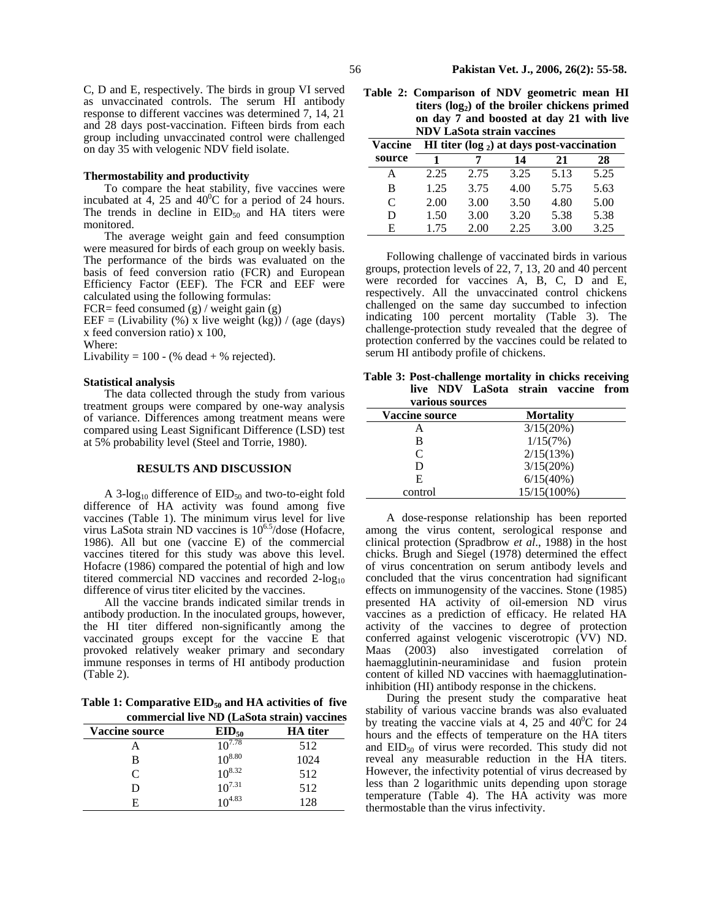C, D and E, respectively. The birds in group VI served as unvaccinated controls. The serum HI antibody response to different vaccines was determined 7, 14, 21 and 28 days post-vaccination. Fifteen birds from each group including unvaccinated control were challenged on day 35 with velogenic NDV field isolate.

#### **Thermostability and productivity**

To compare the heat stability, five vaccines were incubated at 4, 25 and  $40^{\circ}$ C for a period of 24 hours. The trends in decline in  $EID_{50}$  and HA titers were monitored.

The average weight gain and feed consumption were measured for birds of each group on weekly basis. The performance of the birds was evaluated on the basis of feed conversion ratio (FCR) and European Efficiency Factor (EEF). The FCR and EEF were calculated using the following formulas:

FCR= feed consumed  $(g)$  / weight gain  $(g)$ 

EEF = (Livability  $(\%)$  x live weight (kg)) / (age (days) x feed conversion ratio) x 100,

Where:

Livability =  $100 - (% dead + % rejected)$ .

#### **Statistical analysis**

The data collected through the study from various treatment groups were compared by one-way analysis of variance. Differences among treatment means were compared using Least Significant Difference (LSD) test at 5% probability level (Steel and Torrie, 1980).

### **RESULTS AND DISCUSSION**

A 3-log<sub>10</sub> difference of  $EID_{50}$  and two-to-eight fold difference of HA activity was found among five vaccines (Table 1). The minimum virus level for live virus LaSota strain ND vaccines is  $10^{6.5}/d$ ose (Hofacre, 1986). All but one (vaccine E) of the commercial vaccines titered for this study was above this level. Hofacre (1986) compared the potential of high and low titered commercial ND vaccines and recorded  $2$ -log<sub>10</sub> difference of virus titer elicited by the vaccines.

All the vaccine brands indicated similar trends in antibody production. In the inoculated groups, however, the HI titer differed non-significantly among the vaccinated groups except for the vaccine E that provoked relatively weaker primary and secondary immune responses in terms of HI antibody production (Table 2).

Table 1: Comparative EID<sub>50</sub> and HA activities of five **commercial live ND (LaSota strain) vaccines** 

| <b>Vaccine source</b> | $EID_{50}$  | <b>HA</b> titer |
|-----------------------|-------------|-----------------|
|                       | $10^{7.78}$ | 512             |
| в                     | $10^{8.80}$ | 1024            |
| C                     | $10^{8.32}$ | 512             |
| D                     | $10^{7.31}$ | 512             |
| E                     | $10^{4.83}$ | 128             |

**Table 2: Comparison of NDV geometric mean HI** titers (log<sub>2</sub>) of the broiler chickens primed **on day 7 and boosted at day 21 with live NDV LaSota strain vaccines**

| <b>Vaccine</b> | HI titer $(\log_2)$ at days post-vaccination |      |      |      |      |  |
|----------------|----------------------------------------------|------|------|------|------|--|
| source         |                                              | 21   | 28   |      |      |  |
| A              | 2.25                                         | 2.75 | 3.25 | 5.13 | 5.25 |  |
| B              | 1.25                                         | 3.75 | 4.00 | 5.75 | 5.63 |  |
| $\mathcal{C}$  | 2.00                                         | 3.00 | 3.50 | 4.80 | 5.00 |  |
| D              | 1.50                                         | 3.00 | 3.20 | 5.38 | 5.38 |  |
| E              | 1.75                                         | 2.00 | 2.25 | 3.00 | 3.25 |  |

Following challenge of vaccinated birds in various groups, protection levels of 22, 7, 13, 20 and 40 percent were recorded for vaccines A, B, C, D and E, respectively. All the unvaccinated control chickens challenged on the same day succumbed to infection indicating 100 percent mortality (Table 3). The challenge-protection study revealed that the degree of protection conferred by the vaccines could be related to serum HI antibody profile of chickens.

**Table 3: Post-challenge mortality in chicks receiving live NDV LaSota strain vaccine from various sources** 

| val lous soul ces     |                  |
|-----------------------|------------------|
| <b>Vaccine source</b> | <b>Mortality</b> |
|                       | 3/15(20%)        |
| в                     | 1/15(7%)         |
| C                     | 2/15(13%)        |
| D                     | 3/15(20%)        |
| E                     | 6/15(40%)        |
| control               | 15/15(100%)      |

A dose-response relationship has been reported among the virus content, serological response and clinical protection (Spradbrow *et al*., 1988) in the host chicks. Brugh and Siegel (1978) determined the effect of virus concentration on serum antibody levels and concluded that the virus concentration had significant effects on immunogensity of the vaccines. Stone (1985) presented HA activity of oil-emersion ND virus vaccines as a prediction of efficacy. He related HA activity of the vaccines to degree of protection conferred against velogenic viscerotropic (VV) ND. Maas (2003) also investigated correlation of haemagglutinin-neuraminidase and fusion protein content of killed ND vaccines with haemagglutinationinhibition (HI) antibody response in the chickens.

During the present study the comparative heat stability of various vaccine brands was also evaluated by treating the vaccine vials at 4, 25 and  $40^{\circ}$ C for 24 hours and the effects of temperature on the HA titers and  $EID_{50}$  of virus were recorded. This study did not reveal any measurable reduction in the HA titers. However, the infectivity potential of virus decreased by less than 2 logarithmic units depending upon storage temperature (Table 4). The HA activity was more thermostable than the virus infectivity.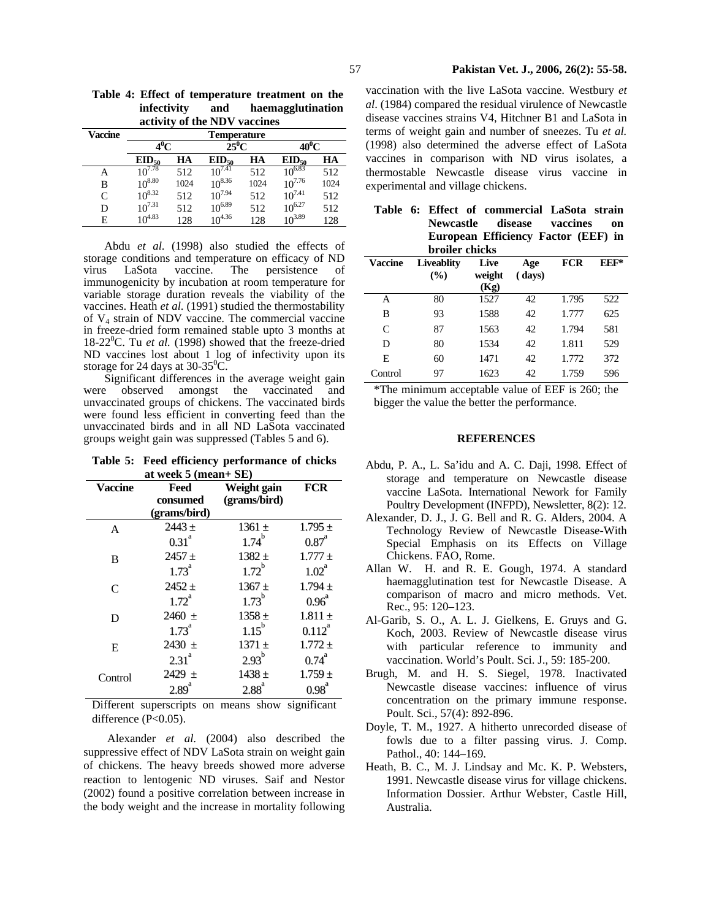|                              | Table 4: Effect of temperature treatment on the |
|------------------------------|-------------------------------------------------|
| infectivity and              | haemagglutination                               |
| activity of the NDV vaccines |                                                 |
|                              |                                                 |

| Vaccine | <b>Temperature</b> |      |             |      |             |      |
|---------|--------------------|------|-------------|------|-------------|------|
|         | $4^0C$             |      | $25^0C$     |      | 40ºC        |      |
|         | $EID_{50}$         | HA   | $EID_{50}$  | HA   | $EID_{50}$  | HA   |
| А       | $10^{7.78}$        | 512  | $10^{7.41}$ | 512  | $10^{6.83}$ | 512  |
| В       | $10^{8.80}$        | 1024 | $10^{8.36}$ | 1024 | $10^{7.76}$ | 1024 |
| C       | $10^{8.32}$        | 512  | $10^{7.94}$ | 512  | $10^{7.41}$ | 512  |
| D       | $10^{7.31}$        | 512  | $10^{6.89}$ | 512  | $10^{6.27}$ | 512  |
| E       | $10^{4.83}$        | 128  | $10^{4.36}$ | 128  | $10^{3.89}$ | 128  |

Abdu *et al*. (1998) also studied the effects of storage conditions and temperature on efficacy of ND virus LaSota vaccine. The persistence of immunogenicity by incubation at room temperature for variable storage duration reveals the viability of the vaccines. Heath *et al*. (1991) studied the thermostability of V4 strain of NDV vaccine. The commercial vaccine in freeze-dried form remained stable upto 3 months at 18-22 $^0$ C. Tu *et al.* (1998) showed that the freeze-dried ND vaccines lost about 1 log of infectivity upon its storage for 24 days at  $30-35^{\circ}$ C.

Significant differences in the average weight gain were observed amongst the vaccinated and unvaccinated groups of chickens. The vaccinated birds were found less efficient in converting feed than the unvaccinated birds and in all ND LaSota vaccinated groups weight gain was suppressed (Tables 5 and 6).

| Table 5: Feed efficiency performance of chicks |
|------------------------------------------------|
| at week $5$ (mean+ $SE$ )                      |

| Vaccine | Weight gain              | FCR               |                     |
|---------|--------------------------|-------------------|---------------------|
|         | consumed<br>(grams/bird) | (grams/bird)      |                     |
| A       | $2443 +$                 | $1361 \pm$        | $1.795 \pm$         |
|         | 0.31 <sup>a</sup>        | $1.74^{b}$        | $0.87$ <sup>a</sup> |
| B       | $2457 +$                 | $1382 +$          | $1.777 \pm$         |
|         | $1.73^{a}$               | $1.72^b$          | $1.02^{\rm a}$      |
| C       | $2452 +$                 | $1367 +$          | $1.794 \pm$         |
|         | 1.72 <sup>a</sup>        | $1.73^{b}$        | $0.96^{\text{a}}$   |
| D       | $2460 \pm$               | $1358 +$          | $1.811 \pm$         |
|         | $1.73^{a}$               | $1.15^{b}$        | $0.112^{a}$         |
| E       | 2430 $\pm$               | $1371 \pm$        | $1.772 \pm$         |
|         | 2.31 <sup>a</sup>        | 2.93 <sup>b</sup> | $0.74^{a}$          |
| Control | $2429 \pm$               | $1438 +$          | $1.759 \pm$         |
|         | $2.89$ <sup>a</sup>      | 2.88 <sup>a</sup> | 0.98 <sup>a</sup>   |

Different superscripts on means show significant difference (P<0.05).

 Alexander *et al*. (2004) also described the suppressive effect of NDV LaSota strain on weight gain of chickens. The heavy breeds showed more adverse reaction to lentogenic ND viruses. Saif and Nestor (2002) found a positive correlation between increase in the body weight and the increase in mortality following

vaccination with the live LaSota vaccine. Westbury *et al*. (1984) compared the residual virulence of Newcastle disease vaccines strains V4, Hitchner B1 and LaSota in terms of weight gain and number of sneezes. Tu *et al.* (1998) also determined the adverse effect of LaSota vaccines in comparison with ND virus isolates, a thermostable Newcastle disease virus vaccine in experimental and village chickens.

|  |                       | Table 6: Effect of commercial LaSota strain |  |
|--|-----------------------|---------------------------------------------|--|
|  |                       | Newcastle disease vaccines on               |  |
|  |                       | European Efficiency Factor (EEF) in         |  |
|  | <b>broiler</b> chicks |                                             |  |

|                | огонег списку            |                        |               |            |        |
|----------------|--------------------------|------------------------|---------------|------------|--------|
| <b>Vaccine</b> | <b>Liveablity</b><br>(%) | Live<br>weight<br>(Kg) | Age<br>(days) | <b>FCR</b> | $EEF*$ |
| А              | 80                       | 1527                   | 42            | 1.795      | 522    |
| В              | 93                       | 1588                   | 42            | 1.777      | 625    |
| C              | 87                       | 1563                   | 42            | 1.794      | 581    |
| D              | 80                       | 1534                   | 42            | 1.811      | 529    |
| Е              | 60                       | 1471                   | 42            | 1.772      | 372    |
| Control        | 97                       | 1623                   | 42            | 1.759      | 596    |
|                |                          |                        |               |            |        |

\*The minimum acceptable value of EEF is 260; the bigger the value the better the performance.

## **REFERENCES**

- Abdu, P. A., L. Sa'idu and A. C. Daji, 1998. Effect of storage and temperature on Newcastle disease vaccine LaSota. International Nework for Family Poultry Development (INFPD), Newsletter, 8(2): 12.
- Alexander, D. J., J. G. Bell and R. G. Alders, 2004. A Technology Review of Newcastle Disease-With Special Emphasis on its Effects on Village Chickens. FAO, Rome.
- Allan W. H. and R. E. Gough, 1974. A standard haemagglutination test for Newcastle Disease. A comparison of macro and micro methods. Vet. Rec., 95: 120–123.
- Al-Garib, S. O., A. L. J. Gielkens, E. Gruys and G. Koch, 2003. Review of Newcastle disease virus with particular reference to immunity and vaccination. World's Poult. Sci. J., 59: 185-200.
- Brugh, M. and H. S. Siegel, 1978. Inactivated Newcastle disease vaccines: influence of virus concentration on the primary immune response. Poult. Sci., 57(4): 892-896.
- Doyle, T. M., 1927. A hitherto unrecorded disease of fowls due to a filter passing virus. J. Comp. Pathol., 40: 144–169.
- Heath, B. C., M. J. Lindsay and Mc. K. P. Websters, 1991. Newcastle disease virus for village chickens. Information Dossier. Arthur Webster, Castle Hill, Australia.